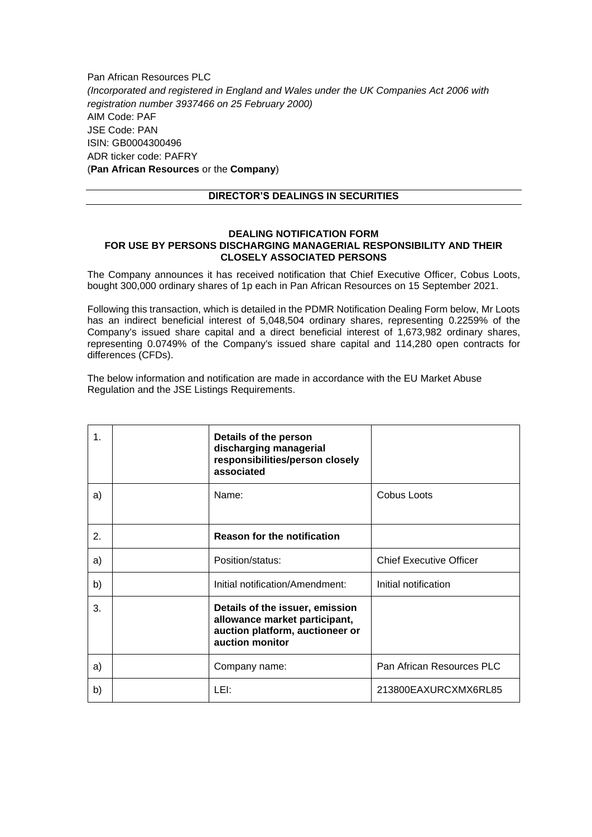Pan African Resources PLC *(Incorporated and registered in England and Wales under the UK Companies Act 2006 with registration number 3937466 on 25 February 2000)* AIM Code: PAF JSE Code: PAN ISIN: GB0004300496 ADR ticker code: PAFRY (**Pan African Resources** or the **Company**)

## **DIRECTOR'S DEALINGS IN SECURITIES**

## **DEALING NOTIFICATION FORM FOR USE BY PERSONS DISCHARGING MANAGERIAL RESPONSIBILITY AND THEIR CLOSELY ASSOCIATED PERSONS**

The Company announces it has received notification that Chief Executive Officer, Cobus Loots, bought 300,000 ordinary shares of 1p each in Pan African Resources on 15 September 2021.

Following this transaction, which is detailed in the PDMR Notification Dealing Form below, Mr Loots has an indirect beneficial interest of 5,048,504 ordinary shares, representing 0.2259% of the Company's issued share capital and a direct beneficial interest of 1,673,982 ordinary shares, representing 0.0749% of the Company's issued share capital and 114,280 open contracts for differences (CFDs).

The below information and notification are made in accordance with the EU Market Abuse Regulation and the JSE Listings Requirements.

| 1. | Details of the person<br>discharging managerial<br>responsibilities/person closely<br>associated                       |                                |
|----|------------------------------------------------------------------------------------------------------------------------|--------------------------------|
| a) | Name:                                                                                                                  | Cobus Loots                    |
| 2. | <b>Reason for the notification</b>                                                                                     |                                |
| a) | Position/status:                                                                                                       | <b>Chief Executive Officer</b> |
| b) | Initial notification/Amendment:                                                                                        | Initial notification           |
| 3. | Details of the issuer, emission<br>allowance market participant,<br>auction platform, auctioneer or<br>auction monitor |                                |
| a) | Company name:                                                                                                          | Pan African Resources PLC      |
| b) | LEI:                                                                                                                   | 213800EAXURCXMX6RL85           |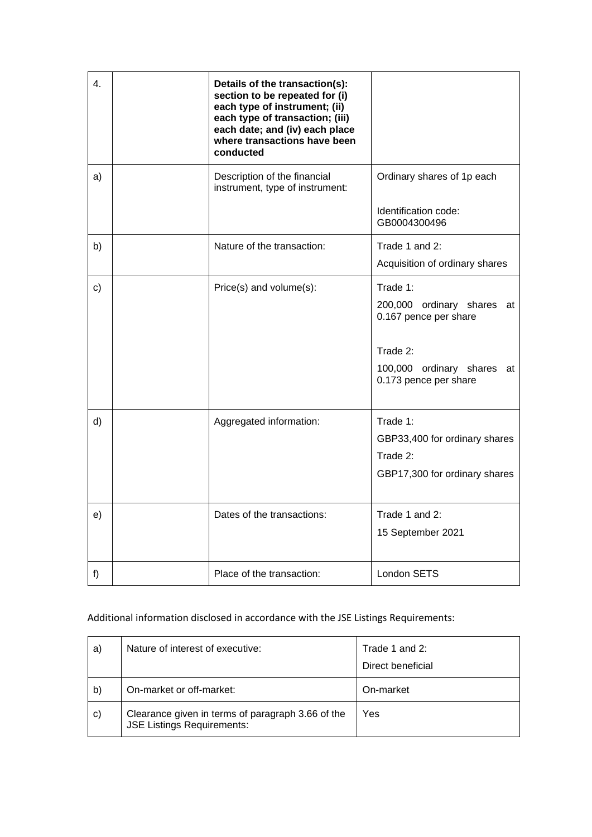| 4.           | Details of the transaction(s):<br>section to be repeated for (i)<br>each type of instrument; (ii)<br>each type of transaction; (iii)<br>each date; and (iv) each place<br>where transactions have been<br>conducted |                                                                                                                                    |
|--------------|---------------------------------------------------------------------------------------------------------------------------------------------------------------------------------------------------------------------|------------------------------------------------------------------------------------------------------------------------------------|
| a)           | Description of the financial<br>instrument, type of instrument:                                                                                                                                                     | Ordinary shares of 1p each<br>Identification code:<br>GB0004300496                                                                 |
| b)           | Nature of the transaction:                                                                                                                                                                                          | Trade 1 and 2:<br>Acquisition of ordinary shares                                                                                   |
| $\mathbf{C}$ | Price(s) and volume(s):                                                                                                                                                                                             | Trade 1:<br>200,000 ordinary shares at<br>0.167 pence per share<br>Trade 2:<br>100,000 ordinary shares at<br>0.173 pence per share |
| d)           | Aggregated information:                                                                                                                                                                                             | Trade 1:<br>GBP33,400 for ordinary shares<br>Trade 2:<br>GBP17,300 for ordinary shares                                             |
| e)           | Dates of the transactions:                                                                                                                                                                                          | Trade 1 and 2:<br>15 September 2021                                                                                                |
| f)           | Place of the transaction:                                                                                                                                                                                           | <b>London SETS</b>                                                                                                                 |

## Additional information disclosed in accordance with the JSE Listings Requirements:

| a)           | Nature of interest of executive:                                                       | Trade 1 and 2:<br>Direct beneficial |
|--------------|----------------------------------------------------------------------------------------|-------------------------------------|
| $\mathsf{b}$ | On-market or off-market:                                                               | On-market                           |
| $\mathbf{C}$ | Clearance given in terms of paragraph 3.66 of the<br><b>JSE Listings Requirements:</b> | Yes                                 |